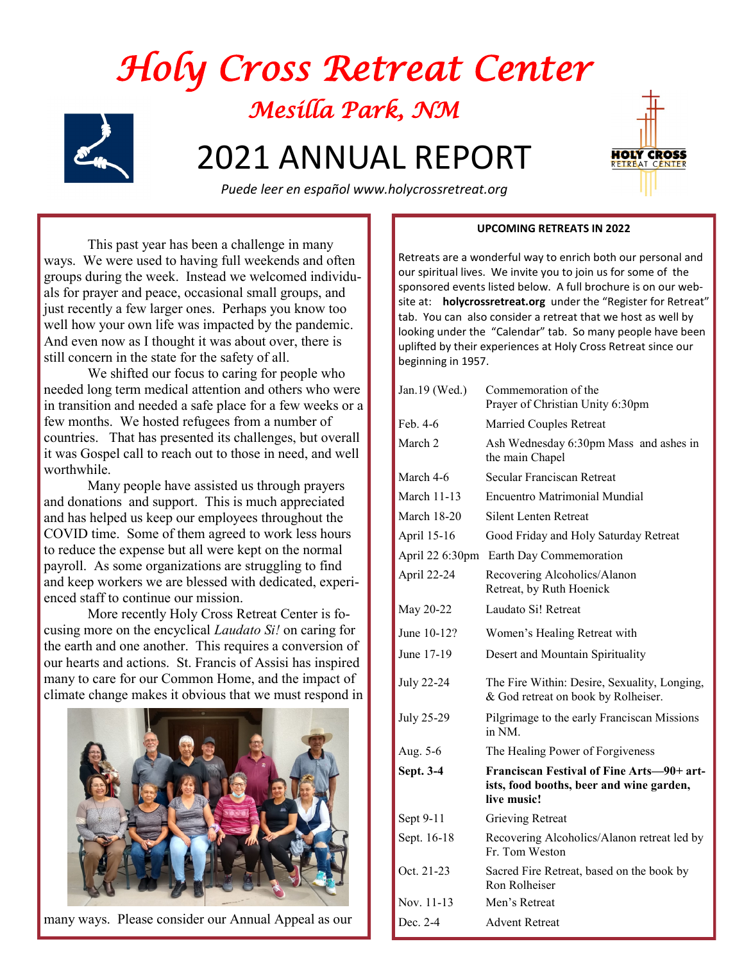



 *Puede leer en español www.holycrossretreat.org* 

This past year has been a challenge in many ways. We were used to having full weekends and often groups during the week. Instead we welcomed individuals for prayer and peace, occasional small groups, and just recently a few larger ones. Perhaps you know too well how your own life was impacted by the pandemic. And even now as I thought it was about over, there is still concern in the state for the safety of all.

We shifted our focus to caring for people who needed long term medical attention and others who were in transition and needed a safe place for a few weeks or a few months. We hosted refugees from a number of countries. That has presented its challenges, but overall it was Gospel call to reach out to those in need, and well worthwhile.

Many people have assisted us through prayers and donations and support. This is much appreciated and has helped us keep our employees throughout the COVID time. Some of them agreed to work less hours to reduce the expense but all were kept on the normal payroll. As some organizations are struggling to find and keep workers we are blessed with dedicated, experienced staff to continue our mission.

More recently Holy Cross Retreat Center is focusing more on the encyclical *Laudato Si!* on caring for the earth and one another. This requires a conversion of our hearts and actions. St. Francis of Assisi has inspired many to care for our Common Home, and the impact of climate change makes it obvious that we must respond in



many ways. Please consider our Annual Appeal as our

## **UPCOMING RETREATS IN 2022**

Retreats are a wonderful way to enrich both our personal and our spiritual lives. We invite you to join us for some of the sponsored events listed below. A full brochure is on our website at: **holycrossretreat.org** under the "Register for Retreat" tab. You can also consider a retreat that we host as well by looking under the "Calendar" tab. So many people have been uplifted by their experiences at Holy Cross Retreat since our beginning in 1957.

| Jan.19 (Wed.)      | Commemoration of the<br>Prayer of Christian Unity 6:30pm                                             |
|--------------------|------------------------------------------------------------------------------------------------------|
| Feb. 4-6           | Married Couples Retreat                                                                              |
| March <sub>2</sub> | Ash Wednesday 6:30pm Mass and ashes in<br>the main Chapel                                            |
| March 4-6          | Secular Franciscan Retreat                                                                           |
| <b>March 11-13</b> | Encuentro Matrimonial Mundial                                                                        |
| <b>March 18-20</b> | <b>Silent Lenten Retreat</b>                                                                         |
| April 15-16        | Good Friday and Holy Saturday Retreat                                                                |
| April 22 6:30pm    | Earth Day Commemoration                                                                              |
| April 22-24        | Recovering Alcoholics/Alanon<br>Retreat, by Ruth Hoenick                                             |
| May 20-22          | Laudato Si! Retreat                                                                                  |
| June 10-12?        | Women's Healing Retreat with                                                                         |
| June 17-19         | Desert and Mountain Spirituality                                                                     |
| <b>July 22-24</b>  | The Fire Within: Desire, Sexuality, Longing,<br>& God retreat on book by Rolheiser.                  |
| July 25-29         | Pilgrimage to the early Franciscan Missions<br>in NM.                                                |
| Aug. 5-6           | The Healing Power of Forgiveness                                                                     |
| Sept. 3-4          | Franciscan Festival of Fine Arts-90+ art-<br>ists, food booths, beer and wine garden,<br>live music! |
| Sept 9-11          | Grieving Retreat                                                                                     |
| Sept. 16-18        | Recovering Alcoholics/Alanon retreat led by<br>Fr. Tom Weston                                        |
| Oct. 21-23         | Sacred Fire Retreat, based on the book by<br>Ron Rolheiser                                           |
| Nov. 11-13         | Men's Retreat                                                                                        |
| Dec. 2-4           | <b>Advent Retreat</b>                                                                                |